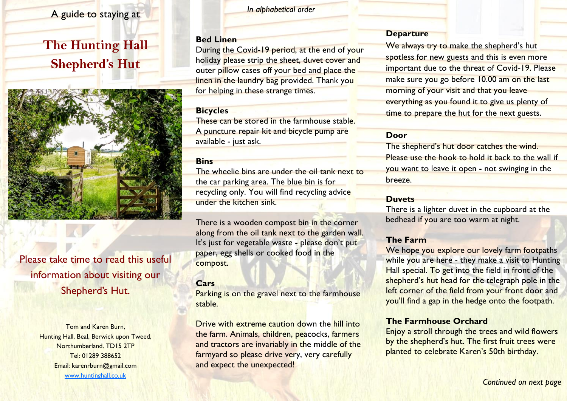## A guide to staying at

# **The Hunting Hall Shepherd's Hut**



## Please take time to read this useful information about visiting our Shepherd's Hut.

Tom and Karen Burn, Hunting Hall, Beal, Berwick upon Tweed, Northumberland. TD15 2TP Tel: 01289 388652 Email: karenrburn@gmail.com www.huntinghall.co.uk

*In alphabetical order*

#### **Bed Linen**

During the Covid-19 period, at the end of your holiday please strip the sheet, duvet cover and outer pillow cases off your bed and place the linen in the laundry bag provided. Thank you for helping in these strange times.

#### **Bicycles**

These can be stored in the farmhouse stable. A puncture repair kit and bicycle pump are available - just ask.

#### **Bins**

The wheelie bins are under the oil tank next to the car parking area. The blue bin is for recycling only. You will find recycling advice under the kitchen sink.

There is a wooden compost bin in the corner along from the oil tank next to the garden wall. It's just for vegetable waste - please don't put paper, egg shells or cooked food in the compost.

## **Cars**

Parking is on the gravel next to the farmhouse stable.

Drive with extreme caution down the hill into the farm. Animals, children, peacocks, farmers and tractors are invariably in the middle of the farmyard so please drive very, very carefully and expect the unexpected!

#### **Departure**

We always try to make the shepherd's hut spotless for new guests and this is even more important due to the threat of Covid-19. Please make sure you go before 10.00 am on the last morning of your visit and that you leave everything as you found it to give us plenty of time to prepare the hut for the next guests.

## **Door**

The shepherd's hut door catches the wind. Please use the hook to hold it back to the wall if you want to leave it open - not swinging in the breeze.

#### **Duvets**

There is a lighter duvet in the cupboard at the bedhead if you are too warm at night.

## **The Farm**

We hope you explore our lovely farm footpaths while you are here - they make a visit to Hunting Hall special. To get into the field in front of the shepherd's hut head for the telegraph pole in the left corner of the field from your front door and you'll find a gap in the hedge onto the footpath.

#### **The Farmhouse Orchard**

Enjoy a stroll through the trees and wild flowers by the shepherd's hut. The first fruit trees were planted to celebrate Karen's 50th birthday.